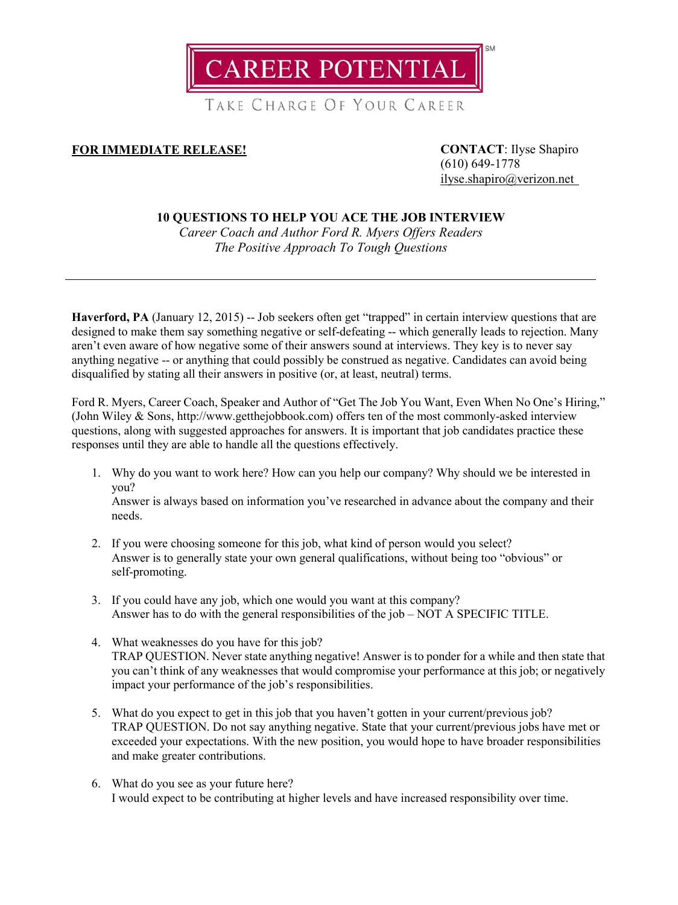**CAREER POTENTIAL** 

TAKE CHARGE OF YOUR CAREER

## **FOR IMMEDIATE RELEASE! CONTACT**: Ilyse Shapiro

(610) 649-1778 [ilyse.shapiro@verizon.net](mailto:ilyse.shapiro@verizon.net)

## **10 QUESTIONS TO HELP YOU ACE THE JOB INTERVIEW**

*Career Coach and Author Ford R. Myers Offers Readers The Positive Approach To Tough Questions*

**Haverford, PA** (January 12, 2015) -- Job seekers often get "trapped" in certain interview questions that are designed to make them say something negative or self-defeating -- which generally leads to rejection. Many aren't even aware of how negative some of their answers sound at interviews. They key is to never say anything negative -- or anything that could possibly be construed as negative. Candidates can avoid being disqualified by stating all their answers in positive (or, at least, neutral) terms.

Ford R. Myers, Career Coach, Speaker and Author of "Get The Job You Want, Even When No One's Hiring," (John Wiley & Sons, http://www.getthejobbook.com) offers ten of the most commonly-asked interview questions, along with suggested approaches for answers. It is important that job candidates practice these responses until they are able to handle all the questions effectively.

- 1. Why do you want to work here? How can you help our company? Why should we be interested in you? Answer is always based on information you've researched in advance about the company and their needs.
- 2. If you were choosing someone for this job, what kind of person would you select? Answer is to generally state your own general qualifications, without being too "obvious" or self-promoting.
- 3. If you could have any job, which one would you want at this company? Answer has to do with the general responsibilities of the job – NOT A SPECIFIC TITLE.
- 4. What weaknesses do you have for this job? TRAP QUESTION. Never state anything negative! Answer is to ponder for a while and then state that you can't think of any weaknesses that would compromise your performance at this job; or negatively impact your performance of the job's responsibilities.
- 5. What do you expect to get in this job that you haven't gotten in your current/previous job? TRAP QUESTION. Do not say anything negative. State that your current/previous jobs have met or exceeded your expectations. With the new position, you would hope to have broader responsibilities and make greater contributions.
- 6. What do you see as your future here? I would expect to be contributing at higher levels and have increased responsibility over time.